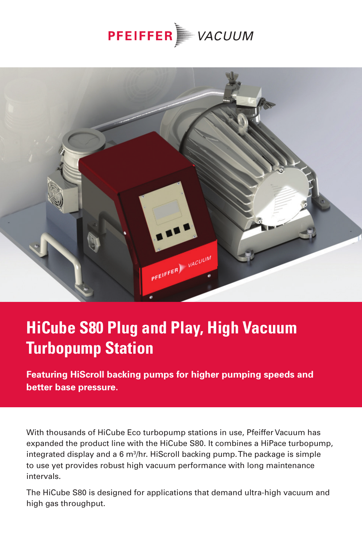



## **HiCube S80 Plug and Play, High Vacuum Turbopump Station**

**Featuring HiScroll backing pumps for higher pumping speeds and better base pressure.**

With thousands of HiCube Eco turbopump stations in use, Pfeiffer Vacuum has expanded the product line with the HiCube S80. It combines a HiPace turbopump, integrated display and a 6 m3 /hr. HiScroll backing pump. The package is simple to use yet provides robust high vacuum performance with long maintenance intervals.

The HiCube S80 is designed for applications that demand ultra-high vacuum and high gas throughput.